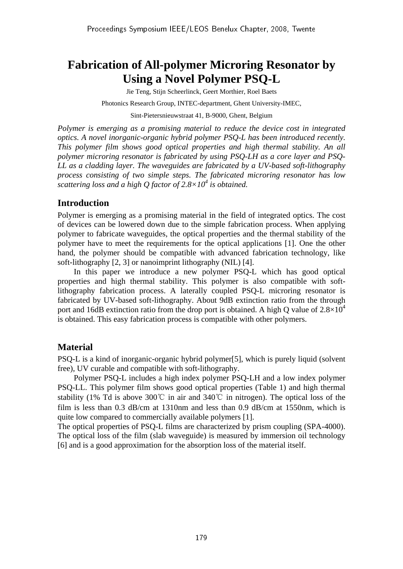# **Fabrication of All-polymer Microring Resonator by Using a Novel Polymer PSQ-L**

Jie Teng, Stijn Scheerlinck, Geert Morthier, Roel Baets

Photonics Research Group, INTEC-department, Ghent University-IMEC,

Sint-Pietersnieuwstraat 41, B-9000, Ghent, Belgium

*Polymer is emerging as a promising material to reduce the device cost in integrated optics. A novel inorganic-organic hybrid polymer PSQ-L has been introduced recently. This polymer film shows good optical properties and high thermal stability. An all polymer microring resonator is fabricated by using PSQ-LH as a core layer and PSQ-LL as a cladding layer. The waveguides are fabricated by a UV-based soft-lithography process consisting of two simple steps. The fabricated microring resonator has low scattering loss and a high Q factor of 2.8×10<sup>4</sup> is obtained.* 

## **Introduction**

Polymer is emerging as a promising material in the field of integrated optics. The cost of devices can be lowered down due to the simple fabrication process. When applying polymer to fabricate waveguides, the optical properties and the thermal stability of the polymer have to meet the requirements for the optical applications [1]. One the other hand, the polymer should be compatible with advanced fabrication technology, like soft-lithography [2, 3] or nanoimprint lithography (NIL) [4].

In this paper we introduce a new polymer PSQ-L which has good optical properties and high thermal stability. This polymer is also compatible with softlithography fabrication process. A laterally coupled PSQ-L microring resonator is fabricated by UV-based soft-lithography. About 9dB extinction ratio from the through port and 16dB extinction ratio from the drop port is obtained. A high Q value of  $2.8\times10^4$ is obtained. This easy fabrication process is compatible with other polymers.

# **Material**

PSQ-L is a kind of inorganic-organic hybrid polymer[5], which is purely liquid (solvent free), UV curable and compatible with soft-lithography.

Polymer PSQ-L includes a high index polymer PSQ-LH and a low index polymer PSQ-LL. This polymer film shows good optical properties (Table 1) and high thermal stability (1% Td is above 300℃ in air and 340℃ in nitrogen). The optical loss of the film is less than 0.3 dB/cm at 1310nm and less than 0.9 dB/cm at 1550nm, which is quite low compared to commercially available polymers [1].

The optical properties of PSQ-L films are characterized by prism coupling (SPA-4000). The optical loss of the film (slab waveguide) is measured by immersion oil technology [6] and is a good approximation for the absorption loss of the material itself.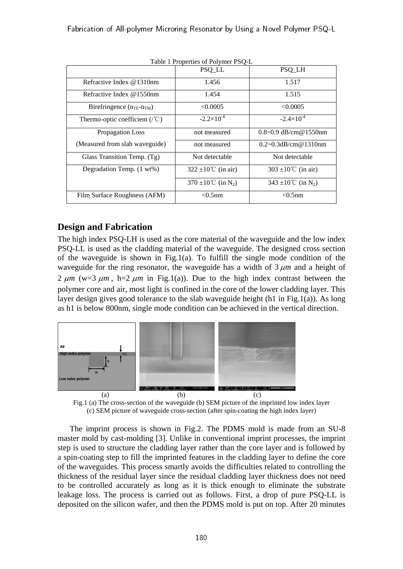| Table 1 Properties of Polymer PSQ-L             |                                 |                                 |
|-------------------------------------------------|---------------------------------|---------------------------------|
|                                                 | PSQ_LL                          | PSQ_LH                          |
| Refractive Index @1310nm                        | 1.456                           | 1.517                           |
| Refractive Index $@1550$ nm                     | 1.454                           | 1.515                           |
| Birefringence $(n_{\text{TE}}-n_{\text{TM}})$   | < 0.0005                        | < 0.0005                        |
| Thermo-optic coefficient $(\sqrt{\mathcal{C}})$ | $-2.2\times10^{-4}$             | $-2.4\times10^{-4}$             |
| Propagation Loss                                | not measured                    | $0.8 - 0.9$ dB/cm@1550nm        |
| (Measured from slab waveguide)                  | not measured                    | $0.2 \sim 0.3$ dB/cm@1310nm     |
| Glass Transition Temp. (Tg)                     | Not detectable                  | Not detectable                  |
| Degradation Temp. (1 wt%)                       | 322 ±10 <sup>°</sup> C (in air) | 303 $\pm 10^{\circ}$ C (in air) |
|                                                 | 370 ±10°C (in N <sub>2</sub> )  | 343 ±10°C (in N <sub>2</sub> )  |
| Film Surface Roughness (AFM)                    | $<$ 0.5 $nm$                    | $< 0.5$ nm                      |

Table 1 Properties of Polymer PSQ-L

# **Design and Fabrication**

The high index PSQ-LH is used as the core material of the waveguide and the low index PSQ-LL is used as the cladding material of the waveguide. The designed cross section of the waveguide is shown in Fig.1(a). To fulfill the single mode condition of the waveguide for the ring resonator, the waveguide has a width of  $3 \mu m$  and a height of 2  $\mu$ m (w=3  $\mu$ m, h=2  $\mu$ m in Fig.1(a)). Due to the high index contrast between the polymer core and air, most light is confined in the core of the lower cladding layer. This layer design gives good tolerance to the slab waveguide height (h1 in Fig.1(a)). As long as h1 is below 800nm, single mode condition can be achieved in the vertical direction.



Fig.1 (a) The cross-section of the waveguide (b) SEM picture of the imprinted low index layer (c) SEM picture of waveguide cross-section (after spin-coating the high index layer)

The imprint process is shown in Fig.2. The PDMS mold is made from an SU-8 master mold by cast-molding [3]. Unlike in conventional imprint processes, the imprint step is used to structure the cladding layer rather than the core layer and is followed by a spin-coating step to fill the imprinted features in the cladding layer to define the core of the waveguides. This process smartly avoids the difficulties related to controlling the thickness of the residual layer since the residual cladding layer thickness does not need to be controlled accurately as long as it is thick enough to eliminate the substrate leakage loss. The process is carried out as follows. First, a drop of pure PSQ-LL is deposited on the silicon wafer, and then the PDMS mold is put on top. After 20 minutes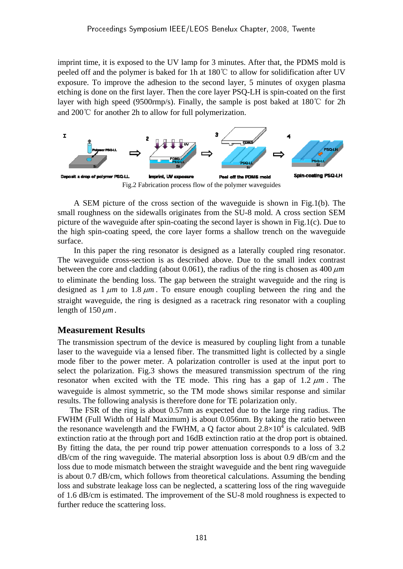imprint time, it is exposed to the UV lamp for 3 minutes. After that, the PDMS mold is peeled off and the polymer is baked for 1h at 180℃ to allow for solidification after UV exposure. To improve the adhesion to the second layer, 5 minutes of oxygen plasma etching is done on the first layer. Then the core layer PSQ-LH is spin-coated on the first layer with high speed (9500rmp/s). Finally, the sample is post baked at 180℃ for 2h and 200℃ for another 2h to allow for full polymerization.



A SEM picture of the cross section of the waveguide is shown in Fig.1(b). The small roughness on the sidewalls originates from the SU-8 mold. A cross section SEM picture of the waveguide after spin-coating the second layer is shown in Fig.1(c). Due to the high spin-coating speed, the core layer forms a shallow trench on the waveguide surface.

In this paper the ring resonator is designed as a laterally coupled ring resonator. The waveguide cross-section is as described above. Due to the small index contrast between the core and cladding (about 0.061), the radius of the ring is chosen as 400 <sup>μ</sup>*m* to eliminate the bending loss. The gap between the straight waveguide and the ring is designed as 1 <sup>μ</sup>*m* to 1.8 <sup>μ</sup>*m* . To ensure enough coupling between the ring and the straight waveguide, the ring is designed as a racetrack ring resonator with a coupling length of 150 <sup>μ</sup>*m*.

## **Measurement Results**

The transmission spectrum of the device is measured by coupling light from a tunable laser to the waveguide via a lensed fiber. The transmitted light is collected by a single mode fiber to the power meter. A polarization controller is used at the input port to select the polarization. Fig.3 shows the measured transmission spectrum of the ring resonator when excited with the TE mode. This ring has a gap of 1.2 <sup>μ</sup>*m* . The waveguide is almost symmetric, so the TM mode shows similar response and similar results. The following analysis is therefore done for TE polarization only.

The FSR of the ring is about 0.57nm as expected due to the large ring radius. The FWHM (Full Width of Half Maximum) is about 0.056nm. By taking the ratio between the resonance wavelength and the FWHM, a Q factor about  $2.8 \times 10^4$  is calculated. 9dB extinction ratio at the through port and 16dB extinction ratio at the drop port is obtained. By fitting the data, the per round trip power attenuation corresponds to a loss of 3.2 dB/cm of the ring waveguide. The material absorption loss is about 0.9 dB/cm and the loss due to mode mismatch between the straight waveguide and the bent ring waveguide is about 0.7 dB/cm, which follows from theoretical calculations. Assuming the bending loss and substrate leakage loss can be neglected, a scattering loss of the ring waveguide of 1.6 dB/cm is estimated. The improvement of the SU-8 mold roughness is expected to further reduce the scattering loss.